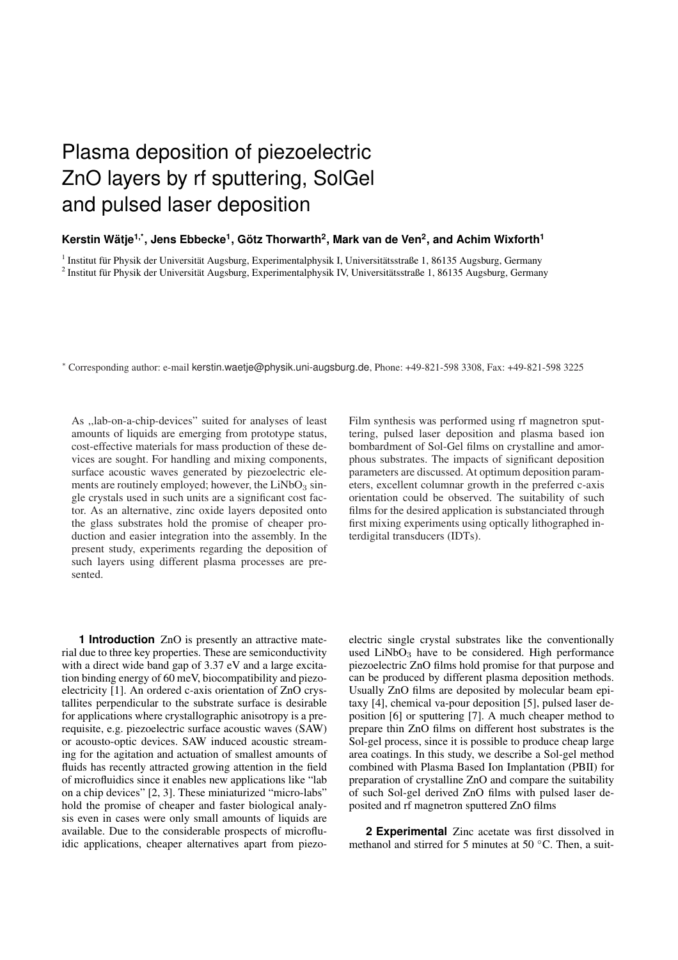## Plasma deposition of piezoelectric ZnO layers by rf sputtering, SolGel and pulsed laser deposition

## Kerstin Wätje<sup>1,\*</sup>, Jens Ebbecke<sup>1</sup>, Götz Thorwarth<sup>2</sup>, Mark van de Ven<sup>2</sup>, and Achim Wixforth<sup>1</sup>

<sup>1</sup> Institut für Physik der Universität Augsburg, Experimentalphysik I, Universitätsstraße 1, 86135 Augsburg, Germany <sup>2</sup> Institut für Physik der Universität Augsburg, Experimentalphysik IV, Universitätsstraße 1, 86135 Augsburg, Germany

<sup>∗</sup> Corresponding author: e-mail kerstin.waetje@physik.uni-augsburg.de, Phone: +49-821-598 3308, Fax: +49-821-598 3225

As ,,lab-on-a-chip-devices" suited for analyses of least amounts of liquids are emerging from prototype status, cost-effective materials for mass production of these devices are sought. For handling and mixing components, surface acoustic waves generated by piezoelectric elements are routinely employed; however, the  $LiNbO<sub>3</sub> sin$ gle crystals used in such units are a significant cost factor. As an alternative, zinc oxide layers deposited onto the glass substrates hold the promise of cheaper production and easier integration into the assembly. In the present study, experiments regarding the deposition of such layers using different plasma processes are presented.

**1 Introduction** ZnO is presently an attractive material due to three key properties. These are semiconductivity with a direct wide band gap of 3.37 eV and a large excitation binding energy of 60 meV, biocompatibility and piezoelectricity [1]. An ordered c-axis orientation of ZnO crystallites perpendicular to the substrate surface is desirable for applications where crystallographic anisotropy is a prerequisite, e.g. piezoelectric surface acoustic waves (SAW) or acousto-optic devices. SAW induced acoustic streaming for the agitation and actuation of smallest amounts of fluids has recently attracted growing attention in the field of microfluidics since it enables new applications like "lab on a chip devices" [2, 3]. These miniaturized "micro-labs" hold the promise of cheaper and faster biological analysis even in cases were only small amounts of liquids are available. Due to the considerable prospects of microfluidic applications, cheaper alternatives apart from piezoFilm synthesis was performed using rf magnetron sputtering, pulsed laser deposition and plasma based ion bombardment of Sol-Gel films on crystalline and amorphous substrates. The impacts of significant deposition parameters are discussed. At optimum deposition parameters, excellent columnar growth in the preferred c-axis orientation could be observed. The suitability of such films for the desired application is substanciated through first mixing experiments using optically lithographed interdigital transducers (IDTs).

electric single crystal substrates like the conventionally used  $LiNbO<sub>3</sub>$  have to be considered. High performance piezoelectric ZnO films hold promise for that purpose and can be produced by different plasma deposition methods. Usually ZnO films are deposited by molecular beam epitaxy [4], chemical va-pour deposition [5], pulsed laser deposition [6] or sputtering [7]. A much cheaper method to prepare thin ZnO films on different host substrates is the Sol-gel process, since it is possible to produce cheap large area coatings. In this study, we describe a Sol-gel method combined with Plasma Based Ion Implantation (PBII) for preparation of crystalline ZnO and compare the suitability of such Sol-gel derived ZnO films with pulsed laser deposited and rf magnetron sputtered ZnO films

**2 Experimental** Zinc acetate was first dissolved in methanol and stirred for 5 minutes at 50 $\degree$ C. Then, a suit-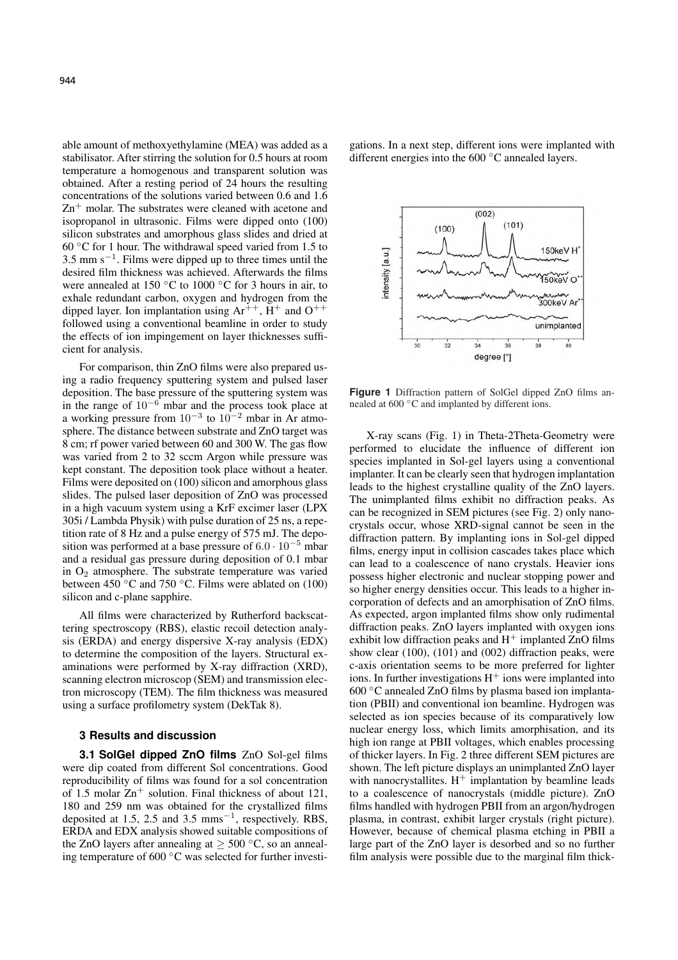able amount of methoxyethylamine (MEA) was added as a stabilisator. After stirring the solution for 0.5 hours at room temperature a homogenous and transparent solution was obtained. After a resting period of 24 hours the resulting concentrations of the solutions varied between 0.6 and 1.6 Zn<sup>+</sup> molar. The substrates were cleaned with acetone and isopropanol in ultrasonic. Films were dipped onto (100) silicon substrates and amorphous glass slides and dried at 60 ◦C for 1 hour. The withdrawal speed varied from 1.5 to  $3.5$  mm s<sup> $-1$ </sup>. Films were dipped up to three times until the desired film thickness was achieved. Afterwards the films were annealed at 150  $\degree$ C to 1000  $\degree$ C for 3 hours in air, to exhale redundant carbon, oxygen and hydrogen from the dipped layer. Ion implantation using  $Ar^{++}$ ,  $H^+$  and  $O^{++}$ followed using a conventional beamline in order to study the effects of ion impingement on layer thicknesses sufficient for analysis.

For comparison, thin ZnO films were also prepared using a radio frequency sputtering system and pulsed laser deposition. The base pressure of the sputtering system was in the range of  $10^{-6}$  mbar and the process took place at a working pressure from  $10^{-3}$  to  $10^{-2}$  mbar in Ar atmosphere. The distance between substrate and ZnO target was 8 cm; rf power varied between 60 and 300 W. The gas flow was varied from 2 to 32 sccm Argon while pressure was kept constant. The deposition took place without a heater. Films were deposited on (100) silicon and amorphous glass slides. The pulsed laser deposition of ZnO was processed in a high vacuum system using a KrF excimer laser (LPX 305i / Lambda Physik) with pulse duration of 25 ns, a repetition rate of 8 Hz and a pulse energy of 575 mJ. The deposition was performed at a base pressure of  $6.0 \cdot 10^{-5}$  mbar and a residual gas pressure during deposition of 0.1 mbar in  $O_2$  atmosphere. The substrate temperature was varied between 450  $\degree$ C and 750  $\degree$ C. Films were ablated on (100) silicon and c-plane sapphire.

All films were characterized by Rutherford backscattering spectroscopy (RBS), elastic recoil detection analysis (ERDA) and energy dispersive X-ray analysis (EDX) to determine the composition of the layers. Structural examinations were performed by X-ray diffraction (XRD), scanning electron microscop (SEM) and transmission electron microscopy (TEM). The film thickness was measured using a surface profilometry system (DekTak 8).

## **3 Results and discussion**

**3.1 SolGel dipped ZnO films** ZnO Sol-gel films were dip coated from different Sol concentrations. Good reproducibility of films was found for a sol concentration of 1.5 molar  $Zn^{+}$  solution. Final thickness of about 121, 180 and 259 nm was obtained for the crystallized films deposited at 1.5, 2.5 and 3.5  $\text{mms}^{-1}$ , respectively. RBS, ERDA and EDX analysis showed suitable compositions of the ZnO layers after annealing at  $\geq 500$  °C, so an annealing temperature of 600 ◦C was selected for further investigations. In a next step, different ions were implanted with different energies into the 600 ◦C annealed layers.



**Figure 1** Diffraction pattern of SolGel dipped ZnO films annealed at 600 °C and implanted by different ions.

X-ray scans (Fig. 1) in Theta-2Theta-Geometry were performed to elucidate the influence of different ion species implanted in Sol-gel layers using a conventional implanter. It can be clearly seen that hydrogen implantation leads to the highest crystalline quality of the ZnO layers. The unimplanted films exhibit no diffraction peaks. As can be recognized in SEM pictures (see Fig. 2) only nanocrystals occur, whose XRD-signal cannot be seen in the diffraction pattern. By implanting ions in Sol-gel dipped films, energy input in collision cascades takes place which can lead to a coalescence of nano crystals. Heavier ions possess higher electronic and nuclear stopping power and so higher energy densities occur. This leads to a higher incorporation of defects and an amorphisation of ZnO films. As expected, argon implanted films show only rudimental diffraction peaks. ZnO layers implanted with oxygen ions exhibit low diffraction peaks and  $H^+$  implanted ZnO films show clear (100), (101) and (002) diffraction peaks, were c-axis orientation seems to be more preferred for lighter ions. In further investigations  $H^+$  ions were implanted into 600 ◦C annealed ZnO films by plasma based ion implantation (PBII) and conventional ion beamline. Hydrogen was selected as ion species because of its comparatively low nuclear energy loss, which limits amorphisation, and its high ion range at PBII voltages, which enables processing of thicker layers. In Fig. 2 three different SEM pictures are shown. The left picture displays an unimplanted ZnO layer with nanocrystallites.  $H^+$  implantation by beamline leads to a coalescence of nanocrystals (middle picture). ZnO films handled with hydrogen PBII from an argon/hydrogen plasma, in contrast, exhibit larger crystals (right picture). However, because of chemical plasma etching in PBII a large part of the ZnO layer is desorbed and so no further film analysis were possible due to the marginal film thick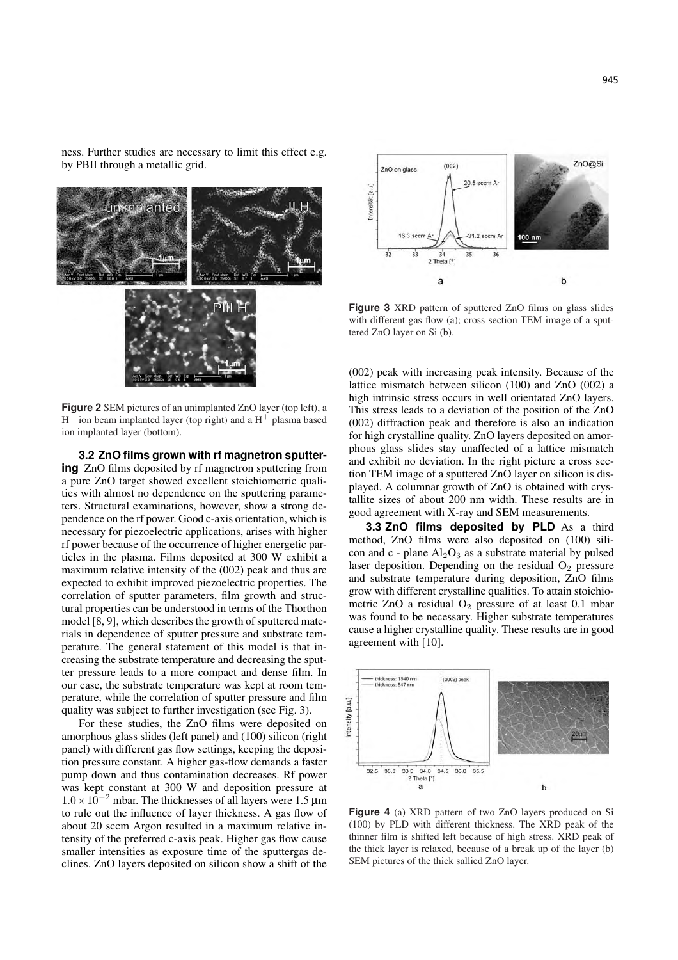ness. Further studies are necessary to limit this effect e.g. by PBII through a metallic grid.



**Figure 2** SEM pictures of an unimplanted ZnO layer (top left), a  $H^+$  ion beam implanted layer (top right) and a  $H^+$  plasma based ion implanted layer (bottom).

**3.2 ZnO films grown with rf magnetron sputtering** ZnO films deposited by rf magnetron sputtering from a pure ZnO target showed excellent stoichiometric qualities with almost no dependence on the sputtering parameters. Structural examinations, however, show a strong dependence on the rf power. Good c-axis orientation, which is necessary for piezoelectric applications, arises with higher rf power because of the occurrence of higher energetic particles in the plasma. Films deposited at 300 W exhibit a maximum relative intensity of the (002) peak and thus are expected to exhibit improved piezoelectric properties. The correlation of sputter parameters, film growth and structural properties can be understood in terms of the Thorthon model  $[8, 9]$ , which describes the growth of sputtered materials in dependence of sputter pressure and substrate temperature. The general statement of this model is that increasing the substrate temperature and decreasing the sputter pressure leads to a more compact and dense film. In our case, the substrate temperature was kept at room temperature, while the correlation of sputter pressure and film quality was subject to further investigation (see Fig. 3).

For these studies, the ZnO films were deposited on amorphous glass slides (left panel) and (100) silicon (right panel) with different gas flow settings, keeping the deposition pressure constant. A higher gas-flow demands a faster pump down and thus contamination decreases. Rf power was kept constant at 300 W and deposition pressure at  $1.0 \times 10^{-2}$  mbar. The thicknesses of all layers were 1.5 μm to rule out the influence of layer thickness. A gas flow of about 20 sccm Argon resulted in a maximum relative intensity of the preferred c-axis peak. Higher gas flow cause smaller intensities as exposure time of the sputtergas declines. ZnO layers deposited on silicon show a shift of the



**Figure 3** XRD pattern of sputtered ZnO films on glass slides with different gas flow (a); cross section TEM image of a sputtered ZnO layer on Si (b).

(002) peak with increasing peak intensity. Because of the lattice mismatch between silicon (100) and ZnO (002) a high intrinsic stress occurs in well orientated ZnO layers. This stress leads to a deviation of the position of the ZnO (002) diffraction peak and therefore is also an indication for high crystalline quality. ZnO layers deposited on amorphous glass slides stay unaffected of a lattice mismatch and exhibit no deviation. In the right picture a cross section TEM image of a sputtered ZnO layer on silicon is displayed. A columnar growth of ZnO is obtained with crystallite sizes of about 200 nm width. These results are in good agreement with X-ray and SEM measurements.

**3.3 ZnO films deposited by PLD** As a third method, ZnO films were also deposited on (100) silicon and c - plane  $Al_2O_3$  as a substrate material by pulsed laser deposition. Depending on the residual  $O<sub>2</sub>$  pressure and substrate temperature during deposition, ZnO films grow with different crystalline qualities. To attain stoichiometric ZnO a residual  $O_2$  pressure of at least 0.1 mbar was found to be necessary. Higher substrate temperatures cause a higher crystalline quality. These results are in good agreement with [10].



**Figure 4** (a) XRD pattern of two ZnO layers produced on Si (100) by PLD with different thickness. The XRD peak of the thinner film is shifted left because of high stress. XRD peak of the thick layer is relaxed, because of a break up of the layer (b) SEM pictures of the thick sallied ZnO layer.